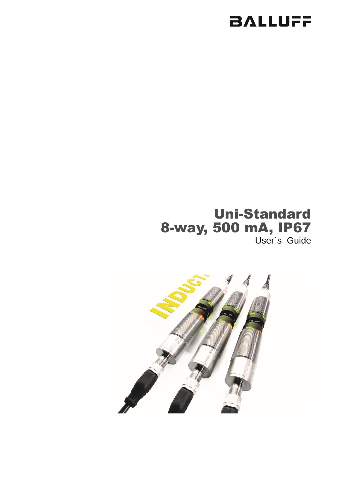# **BALLUFF**

## Uni-Standard 8-way, 500 mA, IP67 User´s Guide

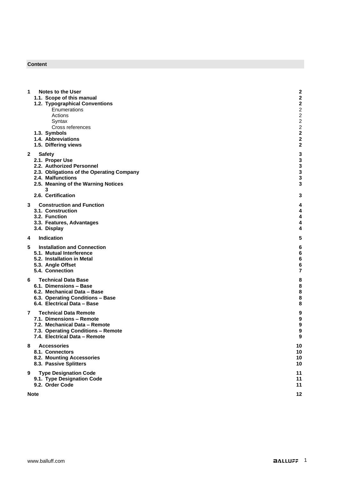### **Content**

| 1            | <b>Notes to the User</b><br>1.1. Scope of this manual               | 2<br>$\overline{a}$              |
|--------------|---------------------------------------------------------------------|----------------------------------|
|              | 1.2. Typographical Conventions                                      | 2                                |
|              | Enumerations<br>Actions                                             | $\overline{c}$<br>$\overline{c}$ |
|              | Syntax                                                              | $\overline{c}$                   |
|              | Cross references<br>1.3. Symbols                                    | $\overline{c}$<br>2              |
|              | 1.4. Abbreviations                                                  | 2                                |
|              | 1.5. Differing views                                                | $\overline{a}$                   |
| $\mathbf{2}$ | <b>Safety</b><br>2.1. Proper Use                                    | 3<br>3                           |
|              | 2.2. Authorized Personnel                                           | 3<br>3                           |
|              | 2.3. Obligations of the Operating Company<br>2.4. Malfunctions      | 3                                |
|              | 2.5. Meaning of the Warning Notices<br>3                            | 3                                |
|              | 2.6. Certification                                                  | 3                                |
| 3.           | <b>Construction and Function</b>                                    | 4                                |
|              | 3.1. Construction<br>3.2. Function                                  | 4<br>4                           |
|              | 3.3. Features, Advantages                                           | 4                                |
|              | 3.4. Display                                                        | 4                                |
| 4            | Indication                                                          | 5                                |
| 5            | <b>Installation and Connection</b><br>5.1. Mutual Interference      | 6<br>6                           |
|              | 5.2. Installation in Metal                                          | 6                                |
|              | 5.3. Angle Offset<br>5.4. Connection                                | 6<br>7                           |
| 6.           | <b>Technical Data Base</b>                                          | 8                                |
|              | 6.1. Dimensions - Base                                              | 8                                |
|              | 6.2. Mechanical Data - Base<br>6.3. Operating Conditions - Base     | 8<br>8                           |
|              | 6.4. Electrical Data - Base                                         | 8                                |
| 7            | <b>Technical Data Remote</b><br>7.1. Dimensions – Remote            | 9<br>9                           |
|              | 7.2. Mechanical Data - Remote                                       | 9                                |
|              | 7.3. Operating Conditions - Remote<br>7.4. Electrical Data - Remote | 9<br>9                           |
| 8            | <b>Accessories</b>                                                  | 10                               |
|              | 8.1. Connectors                                                     | 10                               |
|              | 8.2. Mounting Accessories<br>8.3. Passive Splitters                 | 10<br>10                         |
| 9            | <b>Type Designation Code</b>                                        | 11                               |
|              | 9.1. Type Designation Code                                          | 11                               |
|              | 9.2. Order Code                                                     | 11                               |
|              | <b>Note</b>                                                         | 12                               |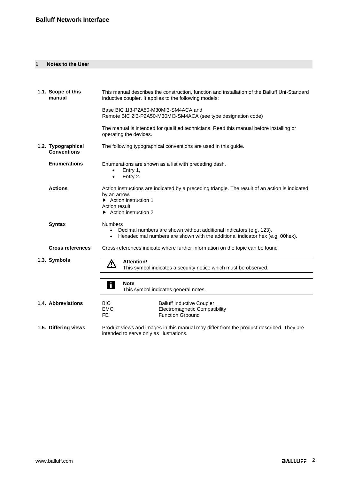### <span id="page-2-0"></span>**1 Notes to the User**

<span id="page-2-9"></span><span id="page-2-8"></span><span id="page-2-7"></span><span id="page-2-6"></span><span id="page-2-5"></span><span id="page-2-4"></span><span id="page-2-3"></span><span id="page-2-2"></span><span id="page-2-1"></span>

| 1.1. Scope of this<br>manual             | This manual describes the construction, function and installation of the Balluff Uni-Standard<br>inductive coupler. It applies to the following models:                                           |  |  |
|------------------------------------------|---------------------------------------------------------------------------------------------------------------------------------------------------------------------------------------------------|--|--|
|                                          | Base BIC 1I3-P2A50-M30MI3-SM4ACA and<br>Remote BIC 2I3-P2A50-M30MI3-SM4ACA (see type designation code)                                                                                            |  |  |
|                                          | The manual is intended for qualified technicians. Read this manual before installing or<br>operating the devices.                                                                                 |  |  |
| 1.2. Typographical<br><b>Conventions</b> | The following typographical conventions are used in this guide.                                                                                                                                   |  |  |
| <b>Enumerations</b>                      | Enumerations are shown as a list with preceding dash.<br>Entry 1,<br>Entry 2.<br>$\bullet$                                                                                                        |  |  |
| <b>Actions</b>                           | Action instructions are indicated by a preceding triangle. The result of an action is indicated<br>by an arrow.<br>Action instruction 1<br>Action result<br>$\triangleright$ Action instruction 2 |  |  |
| <b>Syntax</b>                            | <b>Numbers</b><br>Decimal numbers are shown without additional indicators (e.g. 123),<br>Hexadecimal numbers are shown with the additional indicator hex (e.g. 00hex).                            |  |  |
| <b>Cross references</b>                  | Cross-references indicate where further information on the topic can be found                                                                                                                     |  |  |
| 1.3. Symbols                             | <b>Attention!</b><br><u>个</u><br>This symbol indicates a security notice which must be observed.                                                                                                  |  |  |
|                                          | <b>Note</b><br>$\mathbf{i}$<br>This symbol indicates general notes.                                                                                                                               |  |  |
| 1.4. Abbreviations                       | <b>BIC</b><br><b>Balluff Inductive Coupler</b><br><b>Electromagnetic Compatibility</b><br><b>EMC</b><br>FE.<br><b>Function Grpound</b>                                                            |  |  |
| 1.5. Differing views                     | Product views and images in this manual may differ from the product described. They are<br>intended to serve only as illustrations.                                                               |  |  |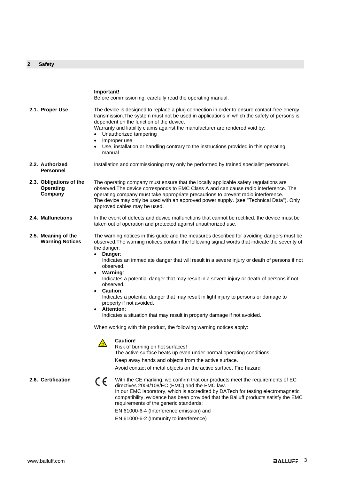### <span id="page-3-0"></span>**2 Safety**

<span id="page-3-7"></span><span id="page-3-6"></span><span id="page-3-5"></span><span id="page-3-4"></span><span id="page-3-3"></span><span id="page-3-2"></span><span id="page-3-1"></span>

|                                                        | Important!<br>Before commissioning, carefully read the operating manual.                                                                                                                                                                                                                                                                                                                                                                                                                                                                                                                                                                                                                                                                                                                                                                                                                                                                                                                                                                                                      |  |  |
|--------------------------------------------------------|-------------------------------------------------------------------------------------------------------------------------------------------------------------------------------------------------------------------------------------------------------------------------------------------------------------------------------------------------------------------------------------------------------------------------------------------------------------------------------------------------------------------------------------------------------------------------------------------------------------------------------------------------------------------------------------------------------------------------------------------------------------------------------------------------------------------------------------------------------------------------------------------------------------------------------------------------------------------------------------------------------------------------------------------------------------------------------|--|--|
| 2.1. Proper Use                                        | The device is designed to replace a plug connection in order to ensure contact-free energy<br>transmission. The system must not be used in applications in which the safety of persons is<br>dependent on the function of the device.<br>Warranty and liability claims against the manufacturer are rendered void by:<br>Unauthorized tampering<br>Improper use<br>$\bullet$<br>Use, installation or handling contrary to the instructions provided in this operating<br>$\bullet$<br>manual                                                                                                                                                                                                                                                                                                                                                                                                                                                                                                                                                                                  |  |  |
| 2.2. Authorized<br><b>Personnel</b>                    | Installation and commissioning may only be performed by trained specialist personnel.                                                                                                                                                                                                                                                                                                                                                                                                                                                                                                                                                                                                                                                                                                                                                                                                                                                                                                                                                                                         |  |  |
| 2.3. Obligations of the<br><b>Operating</b><br>Company | The operating company must ensure that the locally applicable safety regulations are<br>observed. The device corresponds to EMC Class A and can cause radio interference. The<br>operating company must take appropriate precautions to prevent radio interference.<br>The device may only be used with an approved power supply. (see "Technical Data"). Only<br>approved cables may be used.                                                                                                                                                                                                                                                                                                                                                                                                                                                                                                                                                                                                                                                                                |  |  |
| 2.4. Malfunctions                                      | In the event of defects and device malfunctions that cannot be rectified, the device must be<br>taken out of operation and protected against unauthorized use.                                                                                                                                                                                                                                                                                                                                                                                                                                                                                                                                                                                                                                                                                                                                                                                                                                                                                                                |  |  |
| 2.5. Meaning of the<br><b>Warning Notices</b>          | The warning notices in this guide and the measures described for avoiding dangers must be<br>observed. The warning notices contain the following signal words that indicate the severity of<br>the danger:<br>$\bullet$<br>Danger:<br>Indicates an immediate danger that will result in a severe injury or death of persons if not<br>observed.<br>Warning:<br>$\bullet$<br>Indicates a potential danger that may result in a severe injury or death of persons if not<br>observed.<br><b>Caution:</b><br>Indicates a potential danger that may result in light injury to persons or damage to<br>property if not avoided.<br><b>Attention:</b><br>Indicates a situation that may result in property damage if not avoided.<br>When working with this product, the following warning notices apply:<br><b>Caution!</b><br>$\triangle$<br>Risk of burning on hot surfaces!<br>The active surface heats up even under normal operating conditions.<br>Keep away hands and objects from the active surface.<br>Avoid contact of metal objects on the active surface. Fire hazard |  |  |
| 2.6. Certification                                     | With the CE marking, we confirm that our products meet the requirements of EC<br>CE<br>directives 2004/108/EC (EMC) and the EMC law.<br>In our EMC laboratory, which is accredited by DATech for testing electromagnetic<br>compatibility, evidence has been provided that the Balluff products satisfy the EMC<br>requirements of the generic standards:<br>EN 61000-6-4 (Interference emission) and<br>EN 61000-6-2 (Immunity to interference)                                                                                                                                                                                                                                                                                                                                                                                                                                                                                                                                                                                                                              |  |  |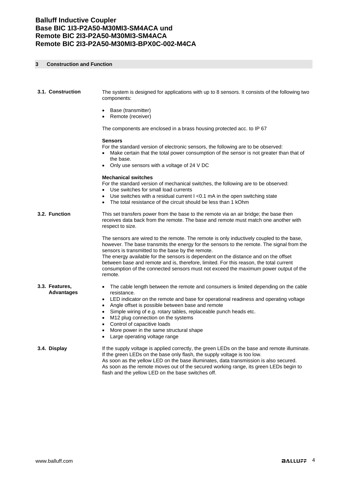### <span id="page-4-0"></span>**3 Construction and Function**

<span id="page-4-2"></span><span id="page-4-1"></span>

| 3.1. Construction                   | The system is designed for applications with up to 8 sensors. It consists of the following two<br>components:                                                                                                                                                                                                                                                                                                                                                                                                                  |
|-------------------------------------|--------------------------------------------------------------------------------------------------------------------------------------------------------------------------------------------------------------------------------------------------------------------------------------------------------------------------------------------------------------------------------------------------------------------------------------------------------------------------------------------------------------------------------|
|                                     | Base (transmitter)<br>Remote (receiver)                                                                                                                                                                                                                                                                                                                                                                                                                                                                                        |
|                                     | The components are enclosed in a brass housing protected acc. to IP 67                                                                                                                                                                                                                                                                                                                                                                                                                                                         |
|                                     | <b>Sensors</b><br>For the standard version of electronic sensors, the following are to be observed:<br>Make certain that the total power consumption of the sensor is not greater than that of<br>the base.<br>Only use sensors with a voltage of 24 V DC                                                                                                                                                                                                                                                                      |
|                                     | <b>Mechanical switches</b><br>For the standard version of mechanical switches, the following are to be observed:<br>Use switches for small load currents<br>Use switches with a residual current I < 0.1 mA in the open switching state<br>The total resistance of the circuit should be less than 1 kOhm                                                                                                                                                                                                                      |
| 3.2. Function                       | This set transfers power from the base to the remote via an air bridge; the base then<br>receives data back from the remote. The base and remote must match one another with<br>respect to size.                                                                                                                                                                                                                                                                                                                               |
|                                     | The sensors are wired to the remote. The remote is only inductively coupled to the base,<br>however. The base transmits the energy for the sensors to the remote. The signal from the<br>sensors is transmitted to the base by the remote.<br>The energy available for the sensors is dependent on the distance and on the offset<br>between base and remote and is, therefore, limited. For this reason, the total current<br>consumption of the connected sensors must not exceed the maximum power output of the<br>remote. |
| 3.3. Features,<br><b>Advantages</b> | The cable length between the remote and consumers is limited depending on the cable<br>resistance.<br>LED indicator on the remote and base for operational readiness and operating voltage<br>$\bullet$<br>Angle offset is possible between base and remote<br>Simple wiring of e.g. rotary tables, replaceable punch heads etc.<br>$\bullet$<br>M12 plug connection on the systems<br>Control of capacitive loads<br>More power in the same structural shape<br>$\bullet$<br>Large operating voltage range                    |
| 3.4. Display                        | If the supply voltage is applied correctly, the green LEDs on the base and remote illuminate.<br>If the green LEDs on the base only flash, the supply voltage is too low.<br>As soon as the yellow LED on the base illuminates, data transmission is also secured.<br>As soon as the remote moves out of the secured working range, its green LEDs begin to                                                                                                                                                                    |

<span id="page-4-4"></span><span id="page-4-3"></span>flash and the yellow LED on the base switches off.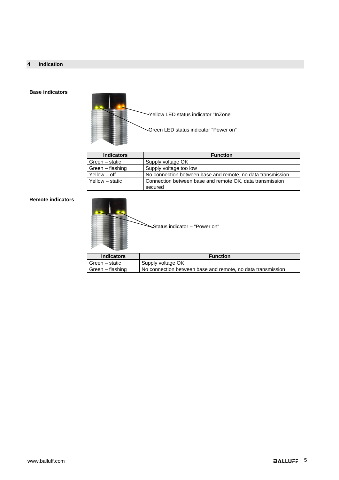### <span id="page-5-0"></span>**4 Indication**

### **Base indicators**



| <b>Function</b>                                                     |  |
|---------------------------------------------------------------------|--|
| Supply voltage OK                                                   |  |
| Supply voltage too low                                              |  |
| No connection between base and remote, no data transmission         |  |
| Connection between base and remote OK, data transmission<br>secured |  |
|                                                                     |  |

### **Remote indicators**

| Status indicator - "Power on" |  |
|-------------------------------|--|
|-------------------------------|--|

| <b>Indicators</b>  | <b>Function</b>                                             |  |
|--------------------|-------------------------------------------------------------|--|
| Green – static     | Supply voltage OK                                           |  |
| l Green – flashing | No connection between base and remote, no data transmission |  |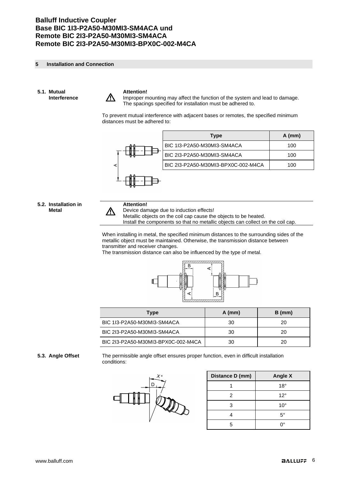### <span id="page-6-0"></span>**5 Installation and Connection**

<span id="page-6-1"></span>**5.1. Mutual Interference**



### **Attention!**

Improper mounting may affect the function of the system and lead to damage. The spacings specified for installation must be adhered to.

To prevent mutual interference with adjacent bases or remotes, the specified minimum distances must be adhered to:



### <span id="page-6-2"></span>**5.2. Installation in Metal**

### **Attention!**

Λ

Device damage due to induction effects!

Metallic objects on the coil cap cause the objects to be heated.

Install the components so that no metallic objects can collect on the coil cap.

When installing in metal, the specified minimum distances to the surrounding sides of the metallic object must be maintained. Otherwise, the transmission distance between transmitter and receiver changes.

The transmission distance can also be influenced by the type of metal.



| <b>Type</b>                         | $A$ (mm) | $B$ (mm) |
|-------------------------------------|----------|----------|
| BIC 1I3-P2A50-M30MI3-SM4ACA         | 30       | 20       |
| BIC 2I3-P2A50-M30MI3-SM4ACA         | 30       | 20       |
| BIC 2I3-P2A50-M30MI3-BPX0C-002-M4CA | 30       | 20       |

<span id="page-6-3"></span>**5.3. Angle Offset** The permissible angle offset ensures proper function, even in difficult installation conditions:



| Distance D (mm) | <b>Angle X</b> |
|-----------------|----------------|
|                 | $18^{\circ}$   |
| 2               | $12^{\circ}$   |
|                 | $10^{\circ}$   |
|                 | 5°             |
|                 | ٦٥             |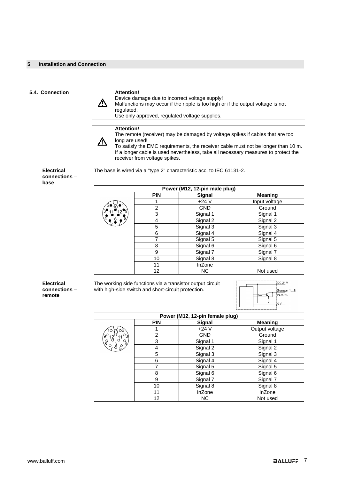### <span id="page-7-0"></span>**5.4. Connection Attention!**

Device damage due to incorrect voltage supply!

八 Malfunctions may occur if the ripple is too high or if the output voltage is not regulated.

Use only approved, regulated voltage supplies.

### **Attention!**

八

The remote (receiver) may be damaged by voltage spikes if cables that are too long are used!

To satisfy the EMC requirements, the receiver cable must not be longer than 10 m. If a longer cable is used nevertheless, take all necessary measures to protect the receiver from voltage spikes.

The base is wired via a "type 2" characteristic acc. to IEC 61131-2.

**Electrical connections – base**

| Power (M12, 12-pin male plug)      |                |               |                |  |
|------------------------------------|----------------|---------------|----------------|--|
|                                    | <b>PIN</b>     | Signal        | <b>Meaning</b> |  |
|                                    |                | $+24V$        | Input voltage  |  |
|                                    | $\overline{2}$ | <b>GND</b>    | Ground         |  |
|                                    | 3              | Signal 1      | Signal 1       |  |
| $^{4}$ $\frac{6}{5}$ $\frac{9}{7}$ | 4              | Signal 2      | Signal 2       |  |
|                                    | 5              | Signal 3      | Signal 3       |  |
|                                    | 6              | Signal 4      | Signal 4       |  |
|                                    | 7              | Signal 5      | Signal 5       |  |
|                                    | 8              | Signal 6      | Signal 6       |  |
|                                    | 9              | Signal 7      | Signal 7       |  |
|                                    | 10             | Signal 8      | Signal 8       |  |
|                                    | 11             | <b>InZone</b> |                |  |
|                                    | 12             | <b>NC</b>     | Not used       |  |

**Electrical connections – remote**

The working side functions via a transistor output circuit with high-side switch and short-circuit protection.



| Power (M12, 12-pin female plug)                   |            |            |                |  |
|---------------------------------------------------|------------|------------|----------------|--|
|                                                   | <b>PIN</b> | Signal     | <b>Meaning</b> |  |
|                                                   |            | $+24V$     | Output voltage |  |
| $^{\circ_3}$                                      | 2          | <b>GND</b> | Ground         |  |
| $\sqrt{\frac{10}{6}}\n\frac{10}{6}\n\frac{10}{6}$ | 3          | Signal 1   | Signal 1       |  |
| (968)                                             | 4          | Signal 2   | Signal 2       |  |
|                                                   | 5          | Signal 3   | Signal 3       |  |
|                                                   | 6          | Signal 4   | Signal 4       |  |
|                                                   | 7          | Signal 5   | Signal 5       |  |
|                                                   | 8          | Signal 6   | Signal 6       |  |
|                                                   | 9          | Signal 7   | Signal 7       |  |
|                                                   | 10         | Signal 8   | Signal 8       |  |
|                                                   | 11         | InZone     | InZone         |  |
|                                                   | 12         | NC.        | Not used       |  |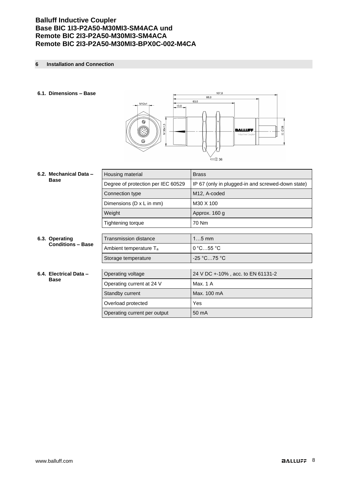### <span id="page-8-0"></span>**6 Installation and Connection**

### <span id="page-8-1"></span>**6.1. Dimensions – Base**



<span id="page-8-4"></span><span id="page-8-3"></span><span id="page-8-2"></span>

|                        | 6.2. Mechanical Data -<br><b>Base</b>      | Housing material                   | <b>Brass</b>                                      |  |
|------------------------|--------------------------------------------|------------------------------------|---------------------------------------------------|--|
|                        |                                            | Degree of protection per IEC 60529 | IP 67 (only in plugged-in and screwed-down state) |  |
|                        |                                            | Connection type                    | M12, A-coded                                      |  |
|                        |                                            | Dimensions (D x L in mm)           | M30 X 100                                         |  |
|                        |                                            | Weight                             | Approx. 160 g                                     |  |
|                        |                                            | Tightening torque                  | 70 Nm                                             |  |
|                        |                                            |                                    |                                                   |  |
|                        | 6.3. Operating<br><b>Conditions - Base</b> | <b>Transmission distance</b>       | $15$ mm                                           |  |
|                        |                                            | Ambient temperature T <sub>a</sub> | $0^{\circ}$ C55 $^{\circ}$ C                      |  |
|                        |                                            | Storage temperature                | -25 °C…75 °C                                      |  |
|                        |                                            |                                    |                                                   |  |
| 6.4. Electrical Data - |                                            | Operating voltage                  | 24 V DC +-10%, acc. to EN 61131-2                 |  |
|                        | <b>Base</b>                                | Operating current at 24 V          | Max. 1 A                                          |  |
|                        |                                            | Standby current                    | Max. 100 mA                                       |  |
|                        |                                            | Overload protected                 | Yes                                               |  |
|                        |                                            | Operating current per output       | 50 mA                                             |  |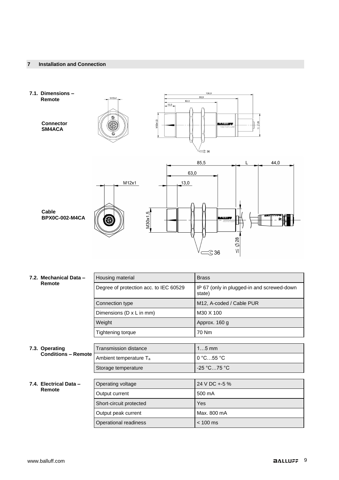<span id="page-9-1"></span><span id="page-9-0"></span>

<span id="page-9-4"></span><span id="page-9-3"></span><span id="page-9-2"></span>

|  | 7.2. Mechanical Data -                       | Housing material                       | <b>Brass</b>                                         |  |  |  |
|--|----------------------------------------------|----------------------------------------|------------------------------------------------------|--|--|--|
|  | Remote                                       | Degree of protection acc. to IEC 60529 | IP 67 (only in plugged-in and screwed-down<br>state) |  |  |  |
|  |                                              | Connection type                        | M12, A-coded / Cable PUR                             |  |  |  |
|  |                                              | Dimensions (D x L in mm)               | M30 X 100                                            |  |  |  |
|  |                                              | Weight                                 | Approx. 160 g                                        |  |  |  |
|  |                                              | Tightening torque                      | 70 Nm                                                |  |  |  |
|  |                                              |                                        |                                                      |  |  |  |
|  | 7.3. Operating<br><b>Conditions - Remote</b> | Transmission distance                  | $15$ mm                                              |  |  |  |
|  |                                              | Ambient temperature T <sub>a</sub>     | 0 °C55 °C                                            |  |  |  |
|  |                                              | Storage temperature                    | -25 °C75 °C                                          |  |  |  |
|  |                                              |                                        |                                                      |  |  |  |
|  | 7.4. Electrical Data -<br>Remote             | Operating voltage                      | 24 V DC +-5 %                                        |  |  |  |
|  |                                              | Output current                         | 500 mA                                               |  |  |  |
|  |                                              | Short-circuit protected                | <b>Yes</b>                                           |  |  |  |
|  |                                              | Output peak current                    | Max. 800 mA                                          |  |  |  |
|  |                                              | Operational readiness                  | $< 100$ ms                                           |  |  |  |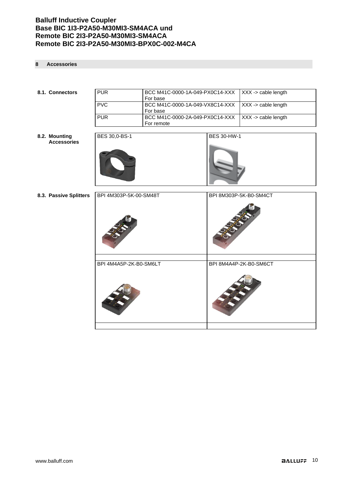### <span id="page-10-0"></span>**8 Accessories**

<span id="page-10-3"></span><span id="page-10-2"></span><span id="page-10-1"></span>

| 8.1. Connectors        | <b>PUR</b>             | BCC M41C-0000-1A-049-PX0C14-XXX<br>For base                                                  |                    | XXX -> cable length    |  |  |
|------------------------|------------------------|----------------------------------------------------------------------------------------------|--------------------|------------------------|--|--|
|                        | PVC                    | BCC M41C-0000-1A-049-VX8C14-XXX<br>For base<br>BCC M41C-0000-2A-049-PX0C14-XXX<br>For remote |                    | XXX -> cable length    |  |  |
|                        | <b>PUR</b>             |                                                                                              |                    | XXX -> cable length    |  |  |
| 8.2. Mounting          | <b>BES 30,0-BS-1</b>   |                                                                                              | <b>BES 30-HW-1</b> |                        |  |  |
| <b>Accessories</b>     |                        |                                                                                              |                    |                        |  |  |
| 8.3. Passive Splitters | BPI 4M303P-5K-00-SM48T |                                                                                              |                    | BPI 8M303P-5K-B0-SM4CT |  |  |
|                        |                        |                                                                                              |                    |                        |  |  |
|                        |                        |                                                                                              |                    |                        |  |  |
| BPI 4M4A5P-2K-B0-SM6LT |                        |                                                                                              |                    | BPI 8M4A4P-2K-B0-SM6CT |  |  |
|                        |                        |                                                                                              |                    |                        |  |  |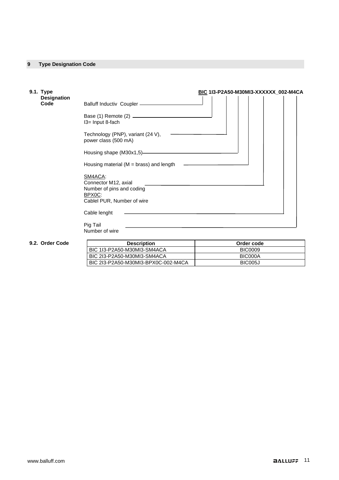### <span id="page-11-0"></span>**9 Type Designation Code**

<span id="page-11-1"></span>

| 9.1. Type                                                                                  | BIC 1I3-P2A50-M30MI3-XXXXXX_002-M4CA                                                                 |  |  |  |               |  |  |  |
|--------------------------------------------------------------------------------------------|------------------------------------------------------------------------------------------------------|--|--|--|---------------|--|--|--|
| <b>Designation</b><br>Code                                                                 | Balluff Inductiv Coupler - <b>Coupler</b>                                                            |  |  |  |               |  |  |  |
|                                                                                            | I3= Input 8-fach                                                                                     |  |  |  |               |  |  |  |
|                                                                                            | Technology (PNP), variant (24 V),<br>power class (500 mA)                                            |  |  |  |               |  |  |  |
|                                                                                            |                                                                                                      |  |  |  |               |  |  |  |
|                                                                                            | Housing material ( $M =$ brass) and length                                                           |  |  |  |               |  |  |  |
|                                                                                            | SM4ACA:<br>Connector M12, axial<br>Number of pins and coding<br>BPX0C:<br>Cablel PUR, Number of wire |  |  |  |               |  |  |  |
|                                                                                            | Cable lenght                                                                                         |  |  |  |               |  |  |  |
|                                                                                            | Pig Tail<br>Number of wire                                                                           |  |  |  |               |  |  |  |
| $\mathbf{A}$ $\mathbf{A}$ $\mathbf{A}$ $\mathbf{A}$ $\mathbf{A}$ $\mathbf{A}$ $\mathbf{A}$ | Desaulation                                                                                          |  |  |  | Onales en ale |  |  |  |

### <span id="page-11-2"></span>**9.2. Order Code**

| <b>Description</b>                  | Order code     |
|-------------------------------------|----------------|
| BIC 1I3-P2A50-M30MI3-SM4ACA         | <b>BIC0009</b> |
| BIC 2I3-P2A50-M30MI3-SM4ACA         | BIC000A        |
| BIC 2I3-P2A50-M30MI3-BPX0C-002-M4CA | BIC005J        |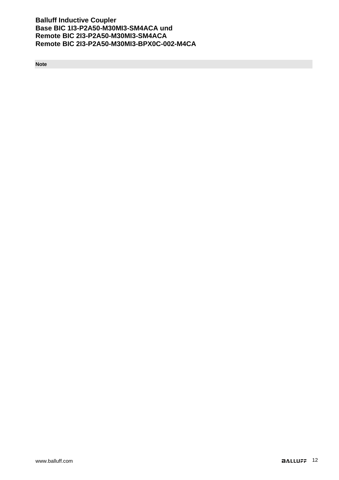<span id="page-12-0"></span>**Note**